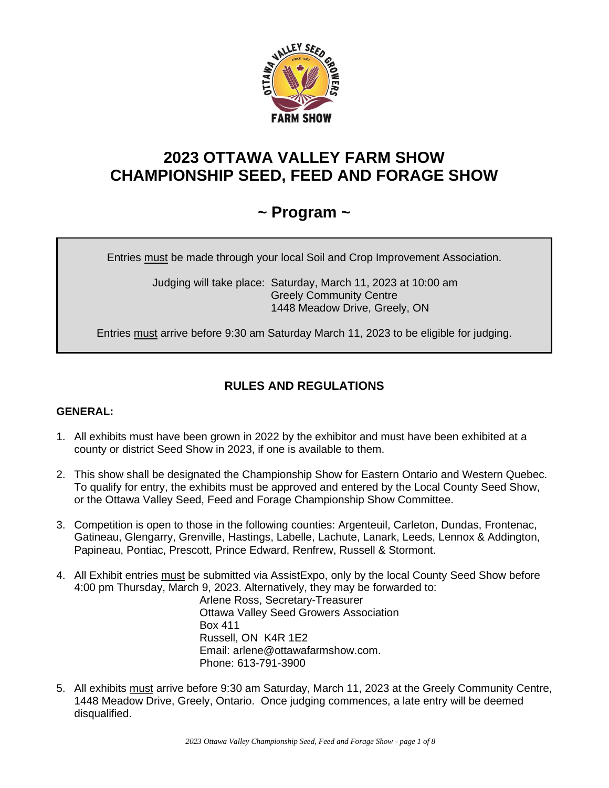

# **2023 OTTAWA VALLEY FARM SHOW CHAMPIONSHIP SEED, FEED AND FORAGE SHOW**

# **~ Program ~**

Entries must be made through your local Soil and Crop Improvement Association.

 Judging will take place: Saturday, March 11, 2023 at 10:00 am Greely Community Centre 1448 Meadow Drive, Greely, ON

Entries must arrive before 9:30 am Saturday March 11, 2023 to be eligible for judging.

## **RULES AND REGULATIONS**

## **GENERAL:**

- 1. All exhibits must have been grown in 2022 by the exhibitor and must have been exhibited at a county or district Seed Show in 2023, if one is available to them.
- 2. This show shall be designated the Championship Show for Eastern Ontario and Western Quebec. To qualify for entry, the exhibits must be approved and entered by the Local County Seed Show, or the Ottawa Valley Seed, Feed and Forage Championship Show Committee.
- 3. Competition is open to those in the following counties: Argenteuil, Carleton, Dundas, Frontenac, Gatineau, Glengarry, Grenville, Hastings, Labelle, Lachute, Lanark, Leeds, Lennox & Addington, Papineau, Pontiac, Prescott, Prince Edward, Renfrew, Russell & Stormont.
- 4. All Exhibit entries must be submitted via AssistExpo, only by the local County Seed Show before 4:00 pm Thursday, March 9, 2023. Alternatively, they may be forwarded to:

Arlene Ross, Secretary-Treasurer Ottawa Valley Seed Growers Association Box 411 Russell, ON K4R 1E2 Email: arlene@ottawafarmshow.com. Phone: 613-791-3900

5. All exhibits must arrive before 9:30 am Saturday, March 11, 2023 at the Greely Community Centre, 1448 Meadow Drive, Greely, Ontario. Once judging commences, a late entry will be deemed disqualified.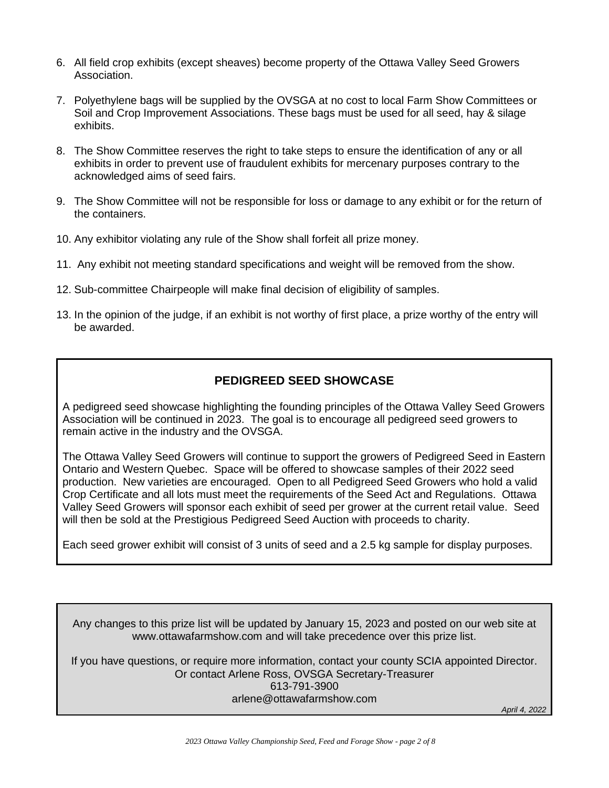- 6. All field crop exhibits (except sheaves) become property of the Ottawa Valley Seed Growers Association.
- 7. Polyethylene bags will be supplied by the OVSGA at no cost to local Farm Show Committees or Soil and Crop Improvement Associations. These bags must be used for all seed, hay & silage exhibits.
- 8. The Show Committee reserves the right to take steps to ensure the identification of any or all exhibits in order to prevent use of fraudulent exhibits for mercenary purposes contrary to the acknowledged aims of seed fairs.
- 9. The Show Committee will not be responsible for loss or damage to any exhibit or for the return of the containers.
- 10. Any exhibitor violating any rule of the Show shall forfeit all prize money.
- 11. Any exhibit not meeting standard specifications and weight will be removed from the show.
- 12. Sub-committee Chairpeople will make final decision of eligibility of samples.
- 13. In the opinion of the judge, if an exhibit is not worthy of first place, a prize worthy of the entry will be awarded.

## **PEDIGREED SEED SHOWCASE**

A pedigreed seed showcase highlighting the founding principles of the Ottawa Valley Seed Growers Association will be continued in 2023. The goal is to encourage all pedigreed seed growers to remain active in the industry and the OVSGA.

The Ottawa Valley Seed Growers will continue to support the growers of Pedigreed Seed in Eastern Ontario and Western Quebec. Space will be offered to showcase samples of their 2022 seed production. New varieties are encouraged. Open to all Pedigreed Seed Growers who hold a valid Crop Certificate and all lots must meet the requirements of the Seed Act and Regulations. Ottawa Valley Seed Growers will sponsor each exhibit of seed per grower at the current retail value. Seed will then be sold at the Prestigious Pedigreed Seed Auction with proceeds to charity.

Each seed grower exhibit will consist of 3 units of seed and a 2.5 kg sample for display purposes.

Any changes to this prize list will be updated by January 15, 2023 and posted on our web site at www.ottawafarmshow.com and will take precedence over this prize list.

If you have questions, or require more information, contact your county SCIA appointed Director. Or contact Arlene Ross, OVSGA Secretary-Treasurer 613-791-3900 arlene@ottawafarmshow.com

*April 4, 2022*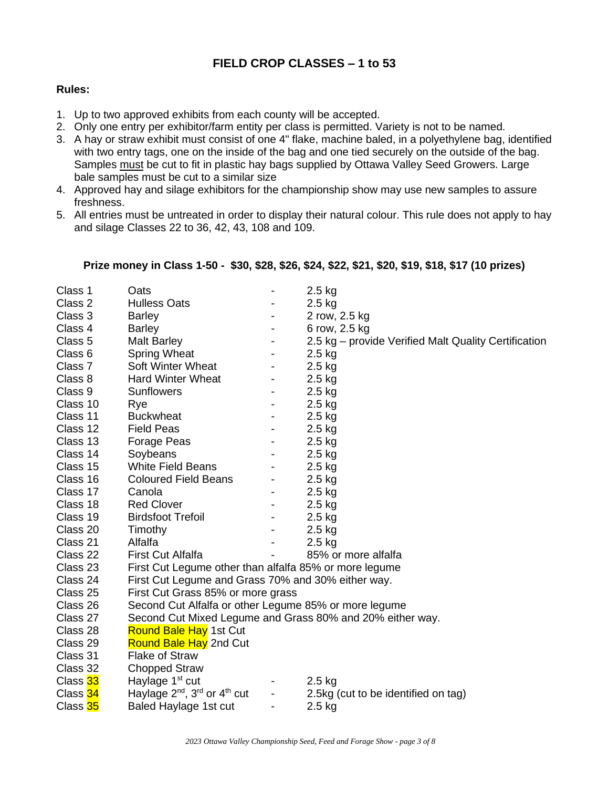## **FIELD CROP CLASSES – 1 to 53**

## **Rules:**

- 1. Up to two approved exhibits from each county will be accepted.
- 2. Only one entry per exhibitor/farm entity per class is permitted. Variety is not to be named.
- 3. A hay or straw exhibit must consist of one 4" flake, machine baled, in a polyethylene bag, identified with two entry tags, one on the inside of the bag and one tied securely on the outside of the bag. Samples must be cut to fit in plastic hay bags supplied by Ottawa Valley Seed Growers. Large bale samples must be cut to a similar size
- 4. Approved hay and silage exhibitors for the championship show may use new samples to assure freshness.
- 5. All entries must be untreated in order to display their natural colour. This rule does not apply to hay and silage Classes 22 to 36, 42, 43, 108 and 109.

## **Prize money in Class 1-50 - \$30, \$28, \$26, \$24, \$22, \$21, \$20, \$19, \$18, \$17 (10 prizes)**

| Class 1  | Oats                                                             |                              | 2.5 kg                                                    |  |
|----------|------------------------------------------------------------------|------------------------------|-----------------------------------------------------------|--|
| Class 2  | <b>Hulless Oats</b>                                              |                              | $2.5$ kg                                                  |  |
| Class 3  | <b>Barley</b>                                                    | $\overline{\phantom{a}}$     | 2 row, 2.5 kg                                             |  |
| Class 4  | <b>Barley</b>                                                    | $\overline{\phantom{a}}$     | 6 row, 2.5 kg                                             |  |
| Class 5  | Malt Barley                                                      |                              | 2.5 kg – provide Verified Malt Quality Certification      |  |
| Class 6  | <b>Spring Wheat</b>                                              | $\overline{\phantom{a}}$     | $2.5$ kg                                                  |  |
| Class 7  | <b>Soft Winter Wheat</b>                                         | $\overline{\phantom{a}}$     | $2.5$ kg                                                  |  |
| Class 8  | <b>Hard Winter Wheat</b>                                         | $\overline{\phantom{a}}$     | $2.5$ kg                                                  |  |
| Class 9  | <b>Sunflowers</b>                                                | $\overline{\phantom{a}}$     | $2.5$ kg                                                  |  |
| Class 10 | Rye                                                              | $\overline{\phantom{a}}$     | $2.5$ kg                                                  |  |
| Class 11 | <b>Buckwheat</b>                                                 | $\overline{\phantom{a}}$     | $2.5$ kg                                                  |  |
| Class 12 | <b>Field Peas</b>                                                | $\overline{\phantom{a}}$     | $2.5$ kg                                                  |  |
| Class 13 | Forage Peas                                                      | $\overline{\phantom{a}}$     | $2.5$ kg                                                  |  |
| Class 14 | Soybeans                                                         | $\overline{\phantom{a}}$     | $2.5$ kg                                                  |  |
| Class 15 | <b>White Field Beans</b>                                         |                              | $2.5$ kg                                                  |  |
| Class 16 | <b>Coloured Field Beans</b>                                      | $\qquad \qquad \blacksquare$ | $2.5$ kg                                                  |  |
| Class 17 | Canola                                                           | $\overline{\phantom{a}}$     | $2.5$ kg                                                  |  |
| Class 18 | <b>Red Clover</b>                                                | $\overline{\phantom{a}}$     | $2.5$ kg                                                  |  |
| Class 19 | <b>Birdsfoot Trefoil</b>                                         | $\overline{\phantom{a}}$     | $2.5$ kg                                                  |  |
| Class 20 | Timothy                                                          | $\overline{\phantom{a}}$     | $2.5$ kg                                                  |  |
| Class 21 | Alfalfa                                                          |                              | $2.5$ kg                                                  |  |
| Class 22 | <b>First Cut Alfalfa</b>                                         |                              | 85% or more alfalfa                                       |  |
| Class 23 | First Cut Legume other than alfalfa 85% or more legume           |                              |                                                           |  |
| Class 24 | First Cut Legume and Grass 70% and 30% either way.               |                              |                                                           |  |
| Class 25 | First Cut Grass 85% or more grass                                |                              |                                                           |  |
| Class 26 | Second Cut Alfalfa or other Legume 85% or more legume            |                              |                                                           |  |
| Class 27 |                                                                  |                              | Second Cut Mixed Legume and Grass 80% and 20% either way. |  |
| Class 28 | <b>Round Bale Hay 1st Cut</b>                                    |                              |                                                           |  |
| Class 29 | <b>Round Bale Hay</b> 2nd Cut                                    |                              |                                                           |  |
| Class 31 | <b>Flake of Straw</b>                                            |                              |                                                           |  |
| Class 32 | <b>Chopped Straw</b>                                             |                              |                                                           |  |
| Class 33 | Haylage 1 <sup>st</sup> cut                                      |                              | $2.5$ kg                                                  |  |
| Class 34 | Haylage 2 <sup>nd</sup> , 3 <sup>rd</sup> or 4 <sup>th</sup> cut | $\overline{\phantom{a}}$     | 2.5kg (cut to be identified on tag)                       |  |
| Class 35 | Baled Haylage 1st cut                                            | -                            | $2.5$ kg                                                  |  |
|          |                                                                  |                              |                                                           |  |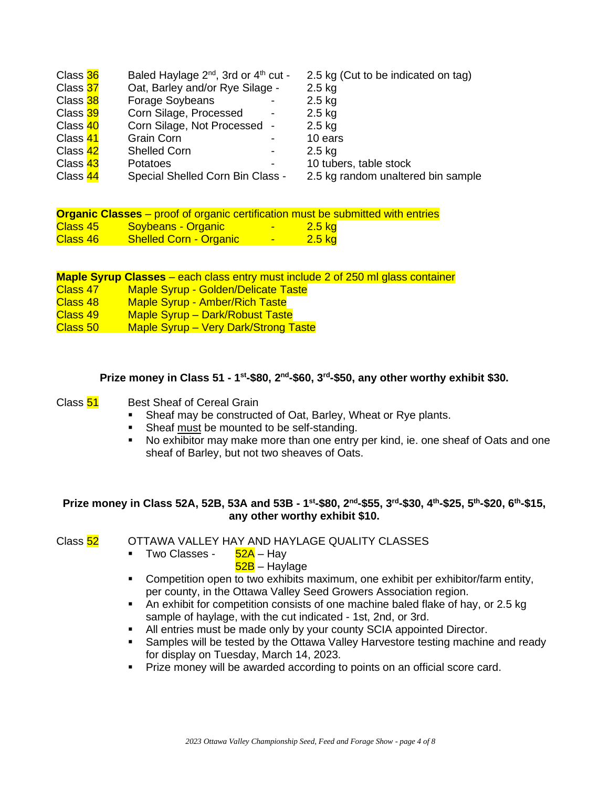| Class 36 | Baled Haylage 2 <sup>nd</sup> , 3rd or 4 <sup>th</sup> cut - | 2.5 kg (Cut to be indicated on tag) |
|----------|--------------------------------------------------------------|-------------------------------------|
| Class 37 | Oat, Barley and/or Rye Silage -                              | $2.5$ kg                            |
| Class 38 | Forage Soybeans                                              | $2.5$ kg                            |
| Class 39 | Corn Silage, Processed                                       | $2.5$ kg                            |
| Class 40 | Corn Silage, Not Processed -                                 | $2.5$ kg                            |
| Class 41 | <b>Grain Corn</b>                                            | 10 ears                             |
| Class 42 | <b>Shelled Corn</b>                                          | $2.5$ kg                            |
| Class 43 | Potatoes                                                     | 10 tubers, table stock              |
| Class 44 | Special Shelled Corn Bin Class -                             | 2.5 kg random unaltered bin sample  |

|          | <b>Organic Classes</b> – proof of organic certification must be submitted with entries |             |                  |  |
|----------|----------------------------------------------------------------------------------------|-------------|------------------|--|
| Class 45 | <b>Soybeans - Organic</b>                                                              |             | $2.5 \text{ kg}$ |  |
| Class 46 | <b>Shelled Corn - Organic</b>                                                          | <b>1979</b> | $2.5 \text{ kg}$ |  |

|          | <b>Maple Syrup Classes</b> – each class entry must include 2 of 250 ml glass container |
|----------|----------------------------------------------------------------------------------------|
| Class 47 | <b>Maple Syrup - Golden/Delicate Taste</b>                                             |
| Class 48 | <b>Maple Syrup - Amber/Rich Taste</b>                                                  |
| Class 49 | Maple Syrup - Dark/Robust Taste                                                        |
| Class 50 | <b>Maple Syrup – Very Dark/Strong Taste</b>                                            |

#### **Prize money in Class 51 - 1<sup>st</sup>-\$80, 2<sup>nd</sup>-\$60, 3<sup>rd</sup>-\$50, any other worthy exhibit \$30.**

## Class 51 Best Sheaf of Cereal Grain

- Sheaf may be constructed of Oat, Barley, Wheat or Rye plants.
- Sheaf must be mounted to be self-standing.
- No exhibitor may make more than one entry per kind, ie. one sheaf of Oats and one sheaf of Barley, but not two sheaves of Oats.

## **Prize money in Class 52A, 52B, 53A and 53B - 1 st -\$80, 2nd -\$55, 3rd -\$30, 4th -\$25, 5th -\$20, 6th -\$15, any other worthy exhibit \$10.**

Class 52 OTTAWA VALLEY HAY AND HAYLAGE QUALITY CLASSES

- Two Classes 52A Hay
	- 52B Haylage
- Competition open to two exhibits maximum, one exhibit per exhibitor/farm entity, per county, in the Ottawa Valley Seed Growers Association region.
- An exhibit for competition consists of one machine baled flake of hay, or 2.5 kg sample of haylage, with the cut indicated - 1st, 2nd, or 3rd.
- All entries must be made only by your county SCIA appointed Director.
- **EXE** Samples will be tested by the Ottawa Valley Harvestore testing machine and ready for display on Tuesday, March 14, 2023.
- **Prize money will be awarded according to points on an official score card.**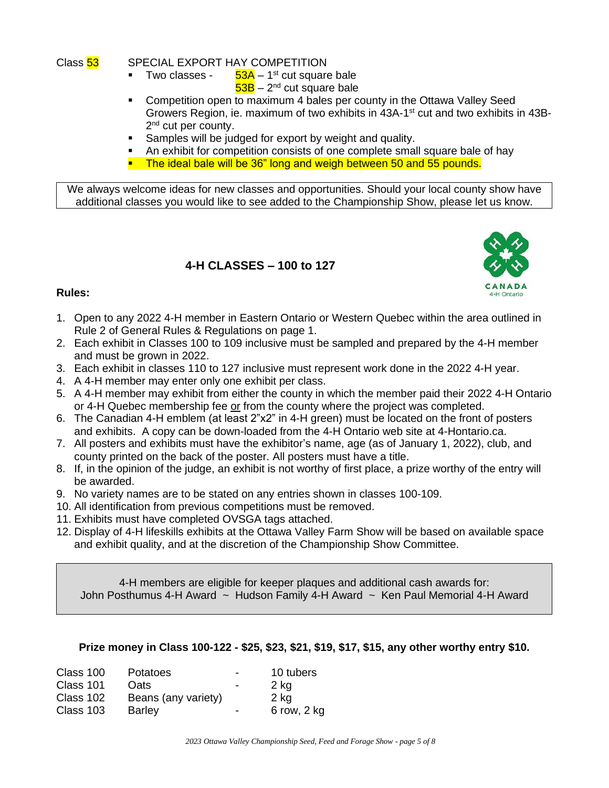Class 53 SPECIAL EXPORT HAY COMPETITION

- Two classes - $53A - 1$ <sup>st</sup> cut square bale 53B – 2<sup>nd</sup> cut square bale
- Competition open to maximum 4 bales per county in the Ottawa Valley Seed Growers Region, ie. maximum of two exhibits in 43A-1<sup>st</sup> cut and two exhibits in 43B-2<sup>nd</sup> cut per county.
- Samples will be judged for export by weight and quality.
- An exhibit for competition consists of one complete small square bale of hay
- **E** The ideal bale will be 36" long and weigh between 50 and 55 pounds.

We always welcome ideas for new classes and opportunities. Should your local county show have additional classes you would like to see added to the Championship Show, please let us know.

## **4-H CLASSES – 100 to 127**



## **Rules:**

- 1. Open to any 2022 4-H member in Eastern Ontario or Western Quebec within the area outlined in Rule 2 of General Rules & Regulations on page 1.
- 2. Each exhibit in Classes 100 to 109 inclusive must be sampled and prepared by the 4-H member and must be grown in 2022.
- 3. Each exhibit in classes 110 to 127 inclusive must represent work done in the 2022 4-H year.
- 4. A 4-H member may enter only one exhibit per class.
- 5. A 4-H member may exhibit from either the county in which the member paid their 2022 4-H Ontario or 4-H Quebec membership fee or from the county where the project was completed.
- 6. The Canadian 4-H emblem (at least 2"x2" in 4-H green) must be located on the front of posters and exhibits. A copy can be down-loaded from the 4-H Ontario web site at 4-Hontario.ca.
- 7. All posters and exhibits must have the exhibitor's name, age (as of January 1, 2022), club, and county printed on the back of the poster. All posters must have a title.
- 8. If, in the opinion of the judge, an exhibit is not worthy of first place, a prize worthy of the entry will be awarded.
- 9. No variety names are to be stated on any entries shown in classes 100-109.
- 10. All identification from previous competitions must be removed.
- 11. Exhibits must have completed OVSGA tags attached.
- 12. Display of 4-H lifeskills exhibits at the Ottawa Valley Farm Show will be based on available space and exhibit quality, and at the discretion of the Championship Show Committee.

4-H members are eligible for keeper plaques and additional cash awards for: John Posthumus 4-H Award ~ Hudson Family 4-H Award ~ Ken Paul Memorial 4-H Award

## **Prize money in Class 100-122 - \$25, \$23, \$21, \$19, \$17, \$15, any other worthy entry \$10.**

| Class 100 | Potatoes            | $\overline{\phantom{0}}$ | 10 tubers   |
|-----------|---------------------|--------------------------|-------------|
| Class 101 | <b>Oats</b>         | $\overline{\phantom{0}}$ | $2$ kg      |
| Class 102 | Beans (any variety) |                          | 2 kg        |
| Class 103 | <b>Barley</b>       | $\overline{\phantom{0}}$ | 6 row, 2 kg |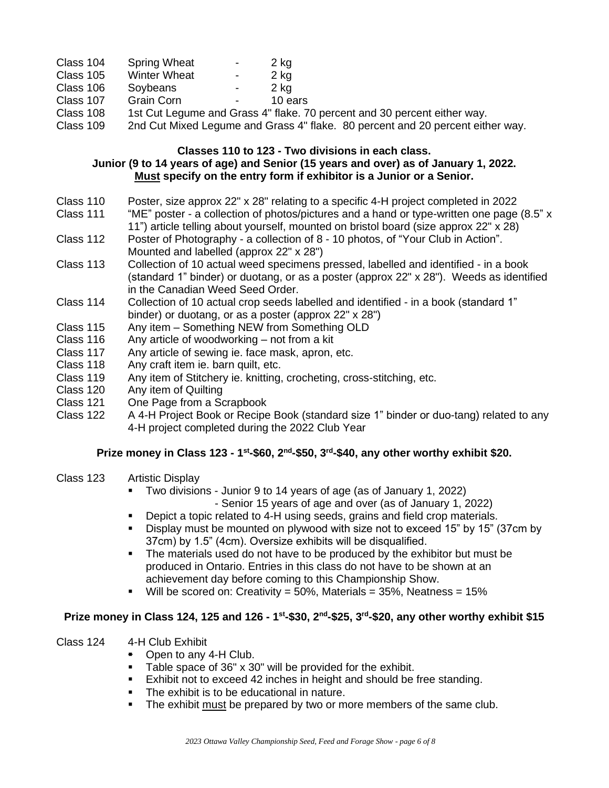| Class 104 | <b>Spring Wheat</b> | - | 2 kg |
|-----------|---------------------|---|------|
| Class 105 | <b>Winter Wheat</b> | - | 2 kg |

- Class 106 Soybeans 2 kg
- Class 107 Grain Corn Fig. 2010 Fig. 2010
- Class 108 1st Cut Legume and Grass 4" flake. 70 percent and 30 percent either way.
- Class 109 2nd Cut Mixed Legume and Grass 4" flake. 80 percent and 20 percent either way.

## **Classes 110 to 123 - Two divisions in each class. Junior (9 to 14 years of age) and Senior (15 years and over) as of January 1, 2022. Must specify on the entry form if exhibitor is a Junior or a Senior.**

- Class 110 Poster, size approx 22" x 28" relating to a specific 4-H project completed in 2022
- Class 111 "ME" poster a collection of photos/pictures and a hand or type-written one page (8.5" x 11") article telling about yourself, mounted on bristol board (size approx 22" x 28)
- Class 112 Poster of Photography a collection of 8 10 photos, of "Your Club in Action". Mounted and labelled (approx 22" x 28")
- Class 113 Collection of 10 actual weed specimens pressed, labelled and identified in a book (standard 1" binder) or duotang, or as a poster (approx 22" x 28"). Weeds as identified in the Canadian Weed Seed Order.
- Class 114 Collection of 10 actual crop seeds labelled and identified in a book (standard 1" binder) or duotang, or as a poster (approx 22" x 28")
- Class 115 Any item Something NEW from Something OLD
- Class 116 Any article of woodworking not from a kit
- Class 117 Any article of sewing ie. face mask, apron, etc.
- Class 118 Any craft item ie. barn quilt, etc.
- Class 119 Any item of Stitchery ie. knitting, crocheting, cross-stitching, etc.
- Class 120 Any item of Quilting
- Class 121 One Page from a Scrapbook
- Class 122 A 4-H Project Book or Recipe Book (standard size 1" binder or duo-tang) related to any 4-H project completed during the 2022 Club Year

## **Prize money in Class 123 - 1 st -\$60, 2nd -\$50, 3rd -\$40, any other worthy exhibit \$20.**

- Class 123 Artistic Display
	- Two divisions Junior 9 to 14 years of age (as of January 1, 2022) - Senior 15 years of age and over (as of January 1, 2022)
	- Depict a topic related to 4-H using seeds, grains and field crop materials.
	- Display must be mounted on plywood with size not to exceed 15" by 15" (37cm by 37cm) by 1.5" (4cm). Oversize exhibits will be disqualified.
	- The materials used do not have to be produced by the exhibitor but must be produced in Ontario. Entries in this class do not have to be shown at an achievement day before coming to this Championship Show.
	- **•** Will be scored on: Creativity =  $50\%$ , Materials =  $35\%$ , Neatness =  $15\%$

## **Prize money in Class 124, 125 and 126 - 1 st -\$30, 2nd -\$25, 3rd -\$20, any other worthy exhibit \$15**

- Class 124 4-H Club Exhibit
	- Open to any 4-H Club.
	- Table space of 36" x 30" will be provided for the exhibit.
	- Exhibit not to exceed 42 inches in height and should be free standing.
	- The exhibit is to be educational in nature.
	- **•** The exhibit must be prepared by two or more members of the same club.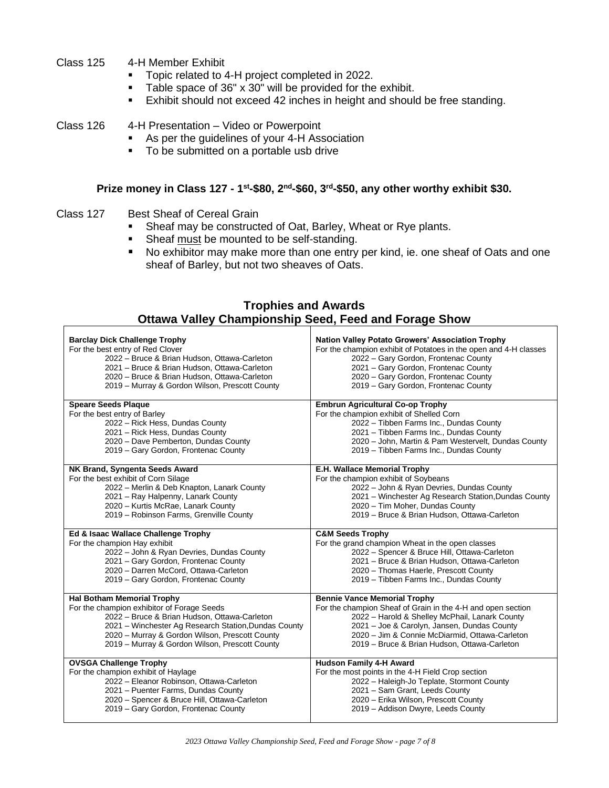- Class 125 4-H Member Exhibit
	- Topic related to 4-H project completed in 2022.
	- Table space of 36" x 30" will be provided for the exhibit.
	- Exhibit should not exceed 42 inches in height and should be free standing.

Class 126 4-H Presentation – Video or Powerpoint

- As per the guidelines of your 4-H Association
- To be submitted on a portable usb drive

## **Prize money in Class 127 - 1 st -\$80, 2nd -\$60, 3rd -\$50, any other worthy exhibit \$30.**

- Class 127 Best Sheaf of Cereal Grain
	- Sheaf may be constructed of Oat, Barley, Wheat or Rye plants.
	- **EXE** Sheaf must be mounted to be self-standing.
	- No exhibitor may make more than one entry per kind, ie. one sheaf of Oats and one sheaf of Barley, but not two sheaves of Oats.

| <b>Trophies and Awards</b> |  |                                                              |  |
|----------------------------|--|--------------------------------------------------------------|--|
|                            |  | <b>Ottawa Valley Championship Seed, Feed and Forage Show</b> |  |

| <b>Barclay Dick Challenge Trophy</b>                 | <b>Nation Valley Potato Growers' Association Trophy</b>          |
|------------------------------------------------------|------------------------------------------------------------------|
| For the best entry of Red Clover                     | For the champion exhibit of Potatoes in the open and 4-H classes |
| 2022 - Bruce & Brian Hudson, Ottawa-Carleton         | 2022 - Gary Gordon, Frontenac County                             |
| 2021 - Bruce & Brian Hudson, Ottawa-Carleton         | 2021 - Gary Gordon, Frontenac County                             |
| 2020 - Bruce & Brian Hudson, Ottawa-Carleton         | 2020 - Gary Gordon, Frontenac County                             |
| 2019 - Murray & Gordon Wilson, Prescott County       | 2019 - Gary Gordon, Frontenac County                             |
| <b>Speare Seeds Plaque</b>                           | <b>Embrun Agricultural Co-op Trophy</b>                          |
| For the best entry of Barley                         | For the champion exhibit of Shelled Corn                         |
| 2022 - Rick Hess, Dundas County                      | 2022 - Tibben Farms Inc., Dundas County                          |
| 2021 - Rick Hess, Dundas County                      | 2021 - Tibben Farms Inc., Dundas County                          |
| 2020 - Dave Pemberton, Dundas County                 | 2020 - John, Martin & Pam Westervelt, Dundas County              |
| 2019 - Gary Gordon, Frontenac County                 | 2019 - Tibben Farms Inc., Dundas County                          |
| NK Brand, Syngenta Seeds Award                       | E.H. Wallace Memorial Trophy                                     |
| For the best exhibit of Corn Silage                  | For the champion exhibit of Soybeans                             |
| 2022 - Merlin & Deb Knapton, Lanark County           | 2022 - John & Ryan Devries, Dundas County                        |
| 2021 - Ray Halpenny, Lanark County                   | 2021 - Winchester Ag Research Station, Dundas County             |
| 2020 - Kurtis McRae, Lanark County                   | 2020 - Tim Moher, Dundas County                                  |
| 2019 - Robinson Farms, Grenville County              | 2019 - Bruce & Brian Hudson, Ottawa-Carleton                     |
| Ed & Isaac Wallace Challenge Trophy                  | <b>C&amp;M Seeds Trophy</b>                                      |
| For the champion Hay exhibit                         | For the grand champion Wheat in the open classes                 |
| 2022 - John & Ryan Devries, Dundas County            | 2022 - Spencer & Bruce Hill, Ottawa-Carleton                     |
| 2021 - Gary Gordon, Frontenac County                 | 2021 - Bruce & Brian Hudson, Ottawa-Carleton                     |
| 2020 - Darren McCord, Ottawa-Carleton                | 2020 - Thomas Haerle, Prescott County                            |
| 2019 - Gary Gordon, Frontenac County                 | 2019 - Tibben Farms Inc., Dundas County                          |
| <b>Hal Botham Memorial Trophy</b>                    | <b>Bennie Vance Memorial Trophy</b>                              |
| For the champion exhibitor of Forage Seeds           | For the champion Sheaf of Grain in the 4-H and open section      |
| 2022 - Bruce & Brian Hudson, Ottawa-Carleton         | 2022 - Harold & Shelley McPhail, Lanark County                   |
| 2021 - Winchester Ag Research Station, Dundas County | 2021 - Joe & Carolyn, Jansen, Dundas County                      |
| 2020 - Murray & Gordon Wilson, Prescott County       | 2020 - Jim & Connie McDiarmid, Ottawa-Carleton                   |
| 2019 - Murray & Gordon Wilson, Prescott County       | 2019 - Bruce & Brian Hudson, Ottawa-Carleton                     |
| <b>OVSGA Challenge Trophy</b>                        | <b>Hudson Family 4-H Award</b>                                   |
| For the champion exhibit of Haylage                  | For the most points in the 4-H Field Crop section                |
| 2022 - Eleanor Robinson, Ottawa-Carleton             | 2022 - Haleigh-Jo Teplate, Stormont County                       |
| 2021 - Puenter Farms, Dundas County                  | 2021 - Sam Grant, Leeds County                                   |
| 2020 - Spencer & Bruce Hill, Ottawa-Carleton         | 2020 - Erika Wilson, Prescott County                             |
| 2019 - Gary Gordon, Frontenac County                 | 2019 - Addison Dwyre, Leeds County                               |